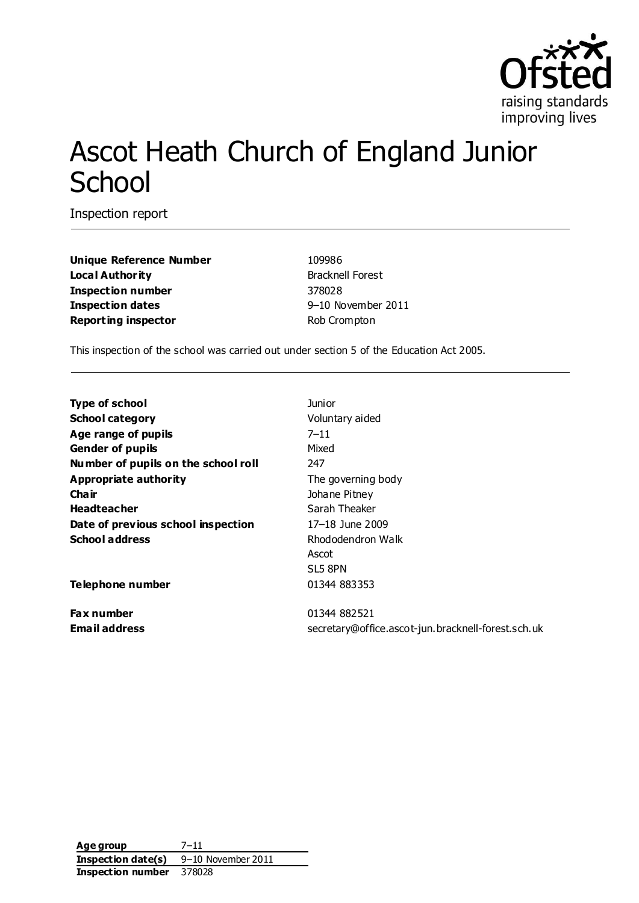

# Ascot Heath Church of England Junior **School**

Inspection report

**Unique Reference Number** 109986 **Local Authority** Bracknell Forest **Inspection number** 378028 **Inspection dates** 9–10 November 2011 **Reporting inspector Reporting inspector Rob Crompton** 

This inspection of the school was carried out under section 5 of the Education Act 2005.

| <b>Type of school</b>               | <b>Junior</b>                                      |
|-------------------------------------|----------------------------------------------------|
| <b>School category</b>              | Voluntary aided                                    |
| Age range of pupils                 | $7 - 11$                                           |
| <b>Gender of pupils</b>             | Mixed                                              |
| Number of pupils on the school roll | 247                                                |
| <b>Appropriate authority</b>        | The governing body                                 |
| Cha ir                              | Johane Pitney                                      |
| <b>Headteacher</b>                  | Sarah Theaker                                      |
| Date of previous school inspection  | 17-18 June 2009                                    |
| <b>School address</b>               | Rhododendron Walk                                  |
|                                     | Ascot                                              |
|                                     | SL5 8PN                                            |
| <b>Telephone number</b>             | 01344 883353                                       |
| Fax number                          | 01344 882521                                       |
| <b>Email address</b>                | secretary@office.ascot-jun.bracknell-forest.sch.uk |
|                                     |                                                    |

**Age group** 7–11 **Inspection date(s)** 9–10 November 2011 **Inspection number** 378028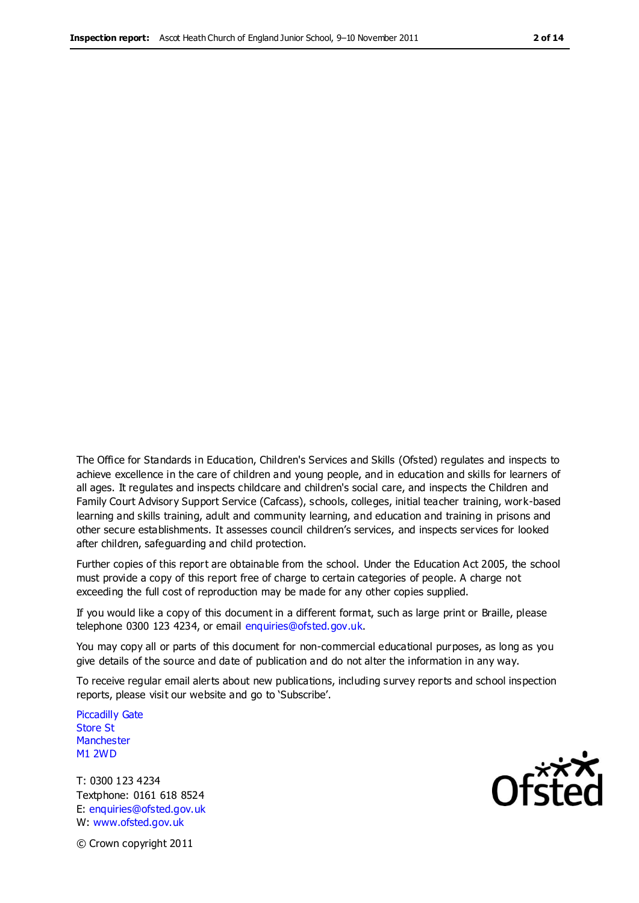The Office for Standards in Education, Children's Services and Skills (Ofsted) regulates and inspects to achieve excellence in the care of children and young people, and in education and skills for learners of all ages. It regulates and inspects childcare and children's social care, and inspects the Children and Family Court Advisory Support Service (Cafcass), schools, colleges, initial teacher training, work-based learning and skills training, adult and community learning, and education and training in prisons and other secure establishments. It assesses council children's services, and inspects services for looked after children, safeguarding and child protection.

Further copies of this report are obtainable from the school. Under the Education Act 2005, the school must provide a copy of this report free of charge to certain categories of people. A charge not exceeding the full cost of reproduction may be made for any other copies supplied.

If you would like a copy of this document in a different format, such as large print or Braille, please telephone 0300 123 4234, or email enquiries@ofsted.gov.uk.

You may copy all or parts of this document for non-commercial educational purposes, as long as you give details of the source and date of publication and do not alter the information in any way.

To receive regular email alerts about new publications, including survey reports and school inspection reports, please visit our website and go to 'Subscribe'.

Piccadilly Gate Store St **Manchester** M1 2WD

T: 0300 123 4234 Textphone: 0161 618 8524 E: enquiries@ofsted.gov.uk W: www.ofsted.gov.uk



© Crown copyright 2011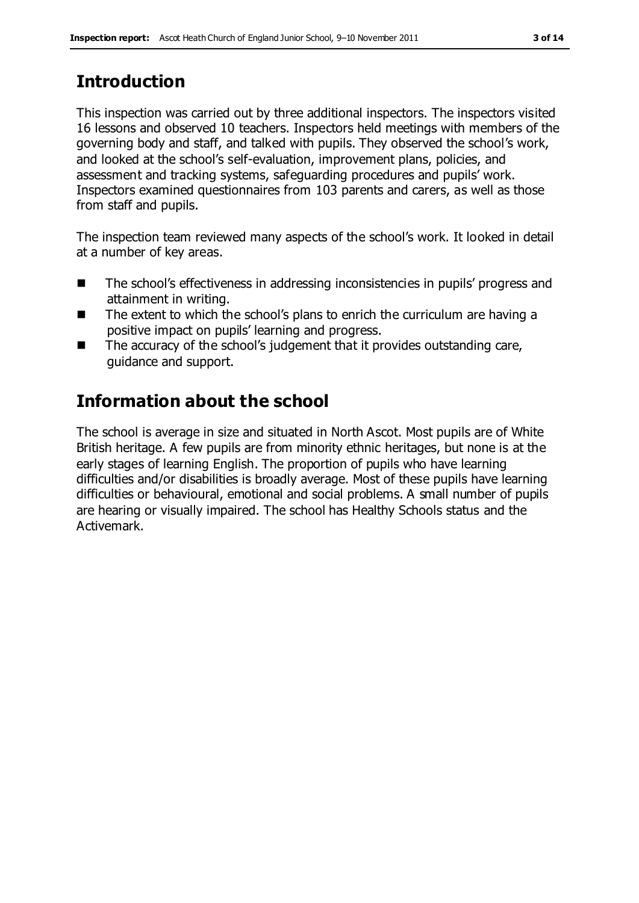# **Introduction**

This inspection was carried out by three additional inspectors. The inspectors visited 16 lessons and observed 10 teachers. Inspectors held meetings with members of the governing body and staff, and talked with pupils. They observed the school's work, and looked at the school's self-evaluation, improvement plans, policies, and assessment and tracking systems, safeguarding procedures and pupils' work. Inspectors examined questionnaires from 103 parents and carers, as well as those from staff and pupils.

The inspection team reviewed many aspects of the school's work. It looked in detail at a number of key areas.

- The school's effectiveness in addressing inconsistencies in pupils' progress and attainment in writing.
- The extent to which the school's plans to enrich the curriculum are having a positive impact on pupils' learning and progress.
- $\blacksquare$  The accuracy of the school's judgement that it provides outstanding care, guidance and support.

## **Information about the school**

The school is average in size and situated in North Ascot. Most pupils are of White British heritage. A few pupils are from minority ethnic heritages, but none is at the early stages of learning English. The proportion of pupils who have learning difficulties and/or disabilities is broadly average. Most of these pupils have learning difficulties or behavioural, emotional and social problems. A small number of pupils are hearing or visually impaired. The school has Healthy Schools status and the Activemark.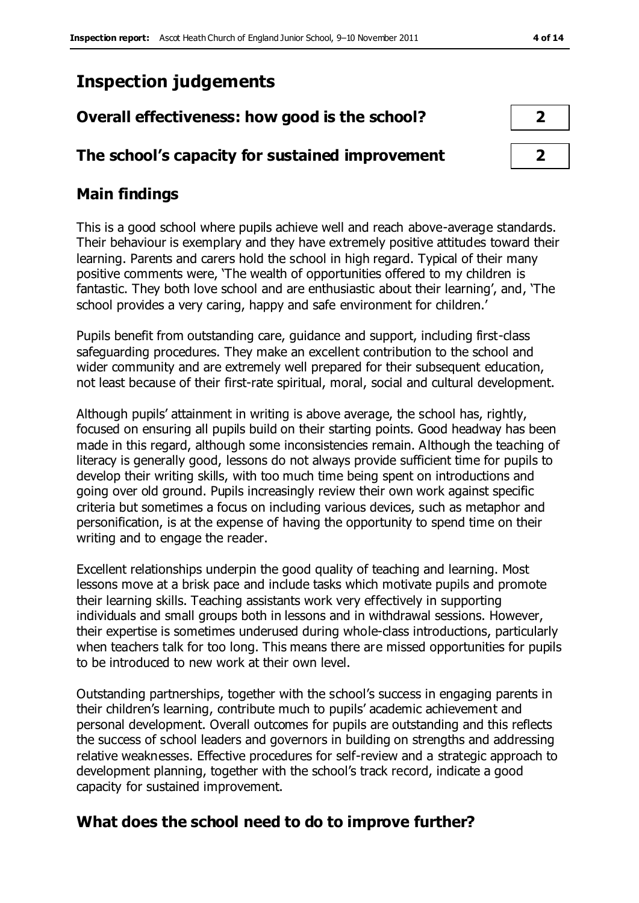## **Inspection judgements**

| Overall effectiveness: how good is the school?  |  |  |
|-------------------------------------------------|--|--|
|                                                 |  |  |
| The school's capacity for sustained improvement |  |  |

## **Main findings**

This is a good school where pupils achieve well and reach above-average standards. Their behaviour is exemplary and they have extremely positive attitudes toward their learning. Parents and carers hold the school in high regard. Typical of their many positive comments were, 'The wealth of opportunities offered to my children is fantastic. They both love school and are enthusiastic about their learning', and, 'The school provides a very caring, happy and safe environment for children.'

Pupils benefit from outstanding care, guidance and support, including first-class safeguarding procedures. They make an excellent contribution to the school and wider community and are extremely well prepared for their subsequent education, not least because of their first-rate spiritual, moral, social and cultural development.

Although pupils' attainment in writing is above average, the school has, rightly, focused on ensuring all pupils build on their starting points. Good headway has been made in this regard, although some inconsistencies remain. Although the teaching of literacy is generally good, lessons do not always provide sufficient time for pupils to develop their writing skills, with too much time being spent on introductions and going over old ground. Pupils increasingly review their own work against specific criteria but sometimes a focus on including various devices, such as metaphor and personification, is at the expense of having the opportunity to spend time on their writing and to engage the reader.

Excellent relationships underpin the good quality of teaching and learning. Most lessons move at a brisk pace and include tasks which motivate pupils and promote their learning skills. Teaching assistants work very effectively in supporting individuals and small groups both in lessons and in withdrawal sessions. However, their expertise is sometimes underused during whole-class introductions, particularly when teachers talk for too long. This means there are missed opportunities for pupils to be introduced to new work at their own level.

Outstanding partnerships, together with the school's success in engaging parents in their children's learning, contribute much to pupils' academic achievement and personal development. Overall outcomes for pupils are outstanding and this reflects the success of school leaders and governors in building on strengths and addressing relative weaknesses. Effective procedures for self-review and a strategic approach to development planning, together with the school's track record, indicate a good capacity for sustained improvement.

## **What does the school need to do to improve further?**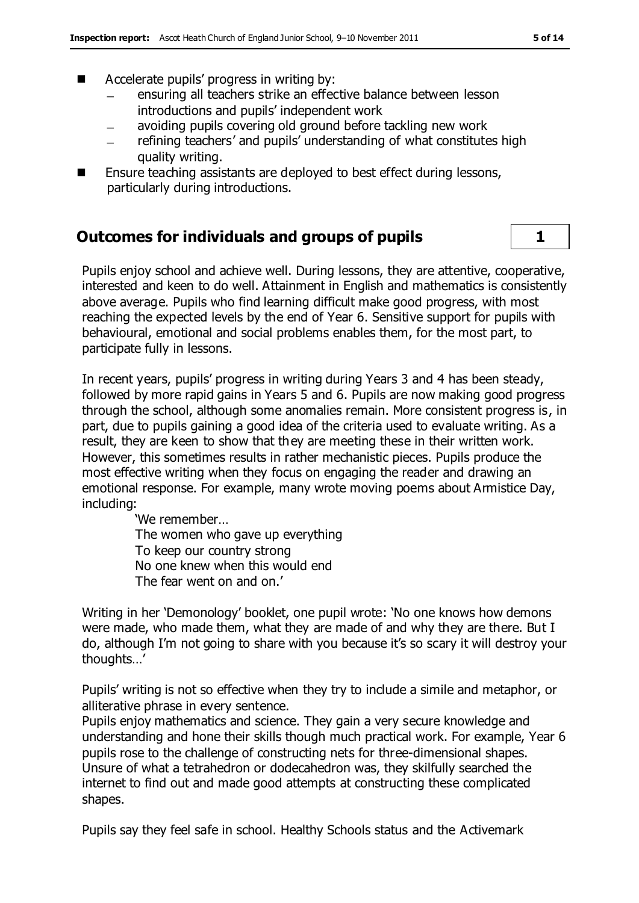- Accelerate pupils' progress in writing by:
	- ensuring all teachers strike an effective balance between lesson introductions and pupils' independent work
	- avoiding pupils covering old ground before tackling new work
	- refining teachers' and pupils' understanding of what constitutes high quality writing.
- Ensure teaching assistants are deployed to best effect during lessons, particularly during introductions.

#### **Outcomes for individuals and groups of pupils 1**

Pupils enjoy school and achieve well. During lessons, they are attentive, cooperative, interested and keen to do well. Attainment in English and mathematics is consistently above average. Pupils who find learning difficult make good progress, with most reaching the expected levels by the end of Year 6. Sensitive support for pupils with behavioural, emotional and social problems enables them, for the most part, to participate fully in lessons.

In recent years, pupils' progress in writing during Years 3 and 4 has been steady, followed by more rapid gains in Years 5 and 6. Pupils are now making good progress through the school, although some anomalies remain. More consistent progress is, in part, due to pupils gaining a good idea of the criteria used to evaluate writing. As a result, they are keen to show that they are meeting these in their written work. However, this sometimes results in rather mechanistic pieces. Pupils produce the most effective writing when they focus on engaging the reader and drawing an emotional response. For example, many wrote moving poems about Armistice Day, including:

> 'We remember… The women who gave up everything To keep our country strong No one knew when this would end The fear went on and on.'

Writing in her 'Demonology' booklet, one pupil wrote: 'No one knows how demons were made, who made them, what they are made of and why they are there. But I do, although I'm not going to share with you because it's so scary it will destroy your thoughts…'

Pupils' writing is not so effective when they try to include a simile and metaphor, or alliterative phrase in every sentence.

Pupils enjoy mathematics and science. They gain a very secure knowledge and understanding and hone their skills though much practical work. For example, Year 6 pupils rose to the challenge of constructing nets for three-dimensional shapes. Unsure of what a tetrahedron or dodecahedron was, they skilfully searched the internet to find out and made good attempts at constructing these complicated shapes.

Pupils say they feel safe in school. Healthy Schools status and the Activemark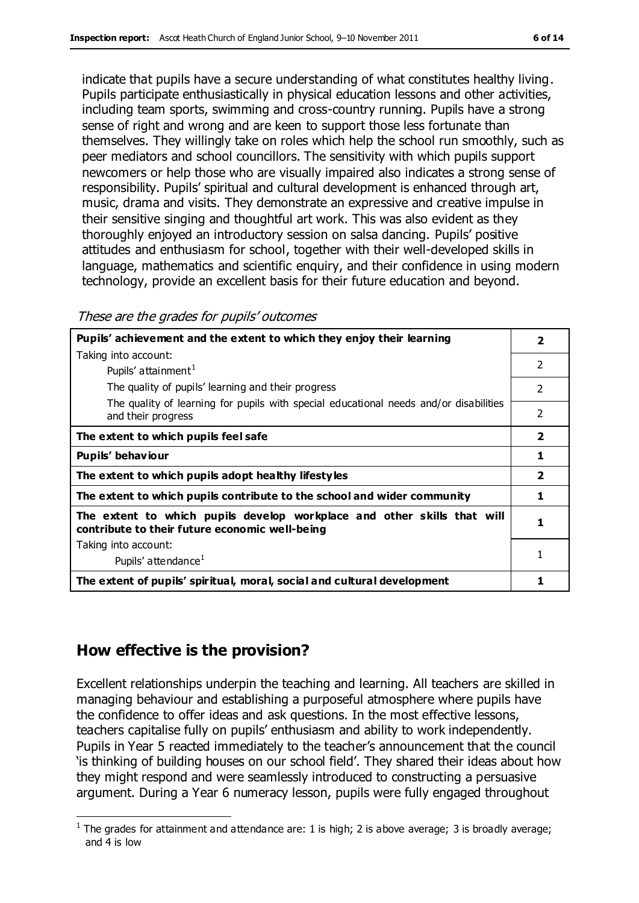indicate that pupils have a secure understanding of what constitutes healthy living. Pupils participate enthusiastically in physical education lessons and other activities, including team sports, swimming and cross-country running. Pupils have a strong sense of right and wrong and are keen to support those less fortunate than themselves. They willingly take on roles which help the school run smoothly, such as peer mediators and school councillors. The sensitivity with which pupils support newcomers or help those who are visually impaired also indicates a strong sense of responsibility. Pupils' spiritual and cultural development is enhanced through art, music, drama and visits. They demonstrate an expressive and creative impulse in their sensitive singing and thoughtful art work. This was also evident as they thoroughly enjoyed an introductory session on salsa dancing. Pupils' positive attitudes and enthusiasm for school, together with their well-developed skills in language, mathematics and scientific enquiry, and their confidence in using modern technology, provide an excellent basis for their future education and beyond.

| Pupils' achievement and the extent to which they enjoy their learning                                                     |                |
|---------------------------------------------------------------------------------------------------------------------------|----------------|
| Taking into account:                                                                                                      |                |
| Pupils' attainment <sup>1</sup>                                                                                           | $\mathfrak{p}$ |
| The quality of pupils' learning and their progress                                                                        | $\mathfrak{p}$ |
| The quality of learning for pupils with special educational needs and/or disabilities<br>and their progress               | $\overline{2}$ |
| The extent to which pupils feel safe                                                                                      |                |
| Pupils' behaviour                                                                                                         |                |
| The extent to which pupils adopt healthy lifestyles                                                                       |                |
| The extent to which pupils contribute to the school and wider community                                                   |                |
| The extent to which pupils develop workplace and other skills that will<br>contribute to their future economic well-being |                |
| Taking into account:                                                                                                      |                |
| Pupils' attendance <sup>1</sup>                                                                                           | 1              |
| The extent of pupils' spiritual, moral, social and cultural development                                                   |                |

#### **How effective is the provision?**

Excellent relationships underpin the teaching and learning. All teachers are skilled in managing behaviour and establishing a purposeful atmosphere where pupils have the confidence to offer ideas and ask questions. In the most effective lessons, teachers capitalise fully on pupils' enthusiasm and ability to work independently. Pupils in Year 5 reacted immediately to the teacher's announcement that the council 'is thinking of building houses on our school field'. They shared their ideas about how they might respond and were seamlessly introduced to constructing a persuasive argument. During a Year 6 numeracy lesson, pupils were fully engaged throughout

 $\overline{a}$ <sup>1</sup> The grades for attainment and attendance are: 1 is high; 2 is above average; 3 is broadly average; and 4 is low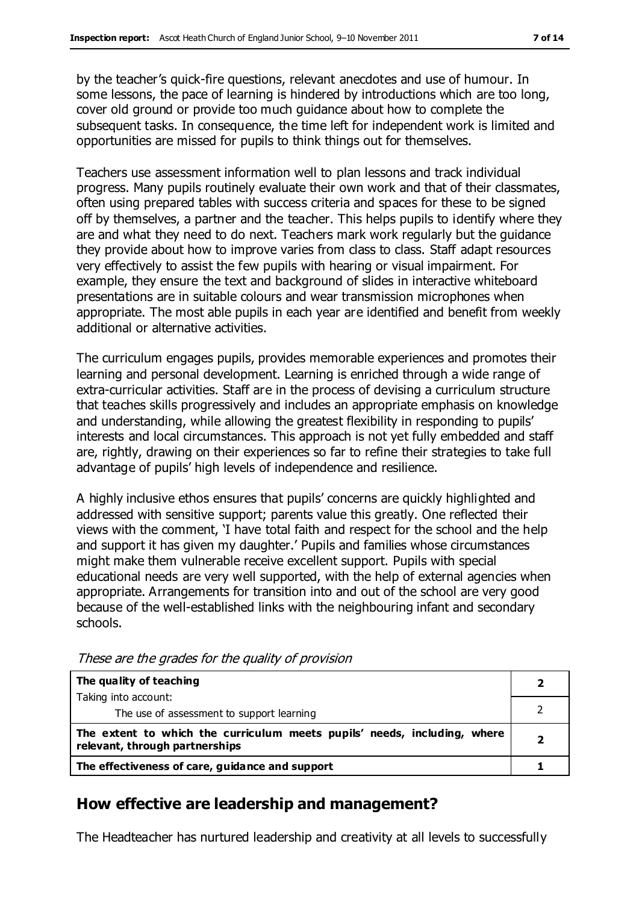by the teacher's quick-fire questions, relevant anecdotes and use of humour. In some lessons, the pace of learning is hindered by introductions which are too long, cover old ground or provide too much guidance about how to complete the subsequent tasks. In consequence, the time left for independent work is limited and opportunities are missed for pupils to think things out for themselves.

Teachers use assessment information well to plan lessons and track individual progress. Many pupils routinely evaluate their own work and that of their classmates, often using prepared tables with success criteria and spaces for these to be signed off by themselves, a partner and the teacher. This helps pupils to identify where they are and what they need to do next. Teachers mark work regularly but the guidance they provide about how to improve varies from class to class. Staff adapt resources very effectively to assist the few pupils with hearing or visual impairment. For example, they ensure the text and background of slides in interactive whiteboard presentations are in suitable colours and wear transmission microphones when appropriate. The most able pupils in each year are identified and benefit from weekly additional or alternative activities.

The curriculum engages pupils, provides memorable experiences and promotes their learning and personal development. Learning is enriched through a wide range of extra-curricular activities. Staff are in the process of devising a curriculum structure that teaches skills progressively and includes an appropriate emphasis on knowledge and understanding, while allowing the greatest flexibility in responding to pupils' interests and local circumstances. This approach is not yet fully embedded and staff are, rightly, drawing on their experiences so far to refine their strategies to take full advantage of pupils' high levels of independence and resilience.

A highly inclusive ethos ensures that pupils' concerns are quickly highlighted and addressed with sensitive support; parents value this greatly. One reflected their views with the comment, 'I have total faith and respect for the school and the help and support it has given my daughter.' Pupils and families whose circumstances might make them vulnerable receive excellent support. Pupils with special educational needs are very well supported, with the help of external agencies when appropriate. Arrangements for transition into and out of the school are very good because of the well-established links with the neighbouring infant and secondary schools.

| The quality of teaching                                                                                    |  |
|------------------------------------------------------------------------------------------------------------|--|
| Taking into account:                                                                                       |  |
| The use of assessment to support learning                                                                  |  |
| The extent to which the curriculum meets pupils' needs, including, where<br>relevant, through partnerships |  |
| The effectiveness of care, guidance and support                                                            |  |

These are the grades for the quality of provision

## **How effective are leadership and management?**

The Headteacher has nurtured leadership and creativity at all levels to successfully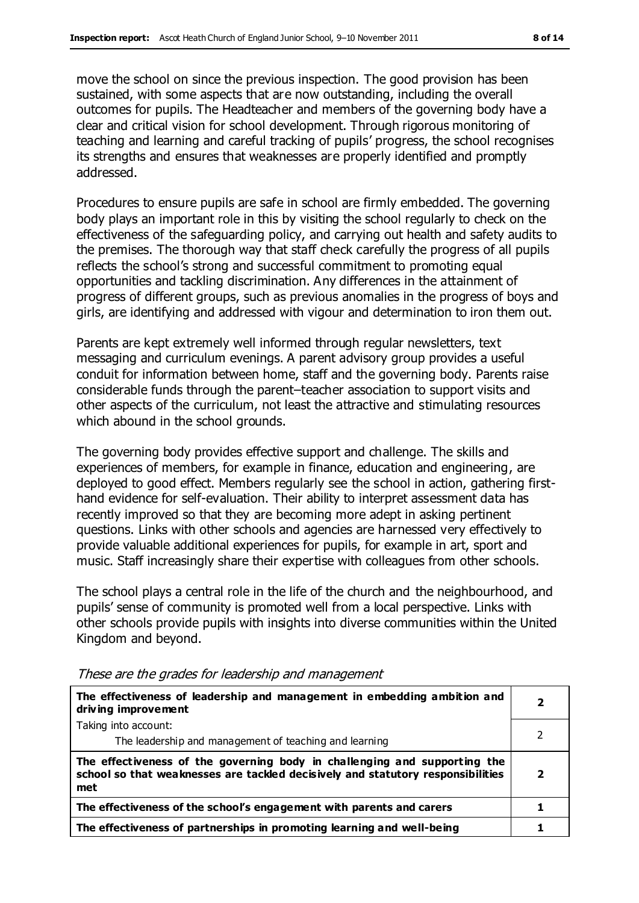move the school on since the previous inspection. The good provision has been sustained, with some aspects that are now outstanding, including the overall outcomes for pupils. The Headteacher and members of the governing body have a clear and critical vision for school development. Through rigorous monitoring of teaching and learning and careful tracking of pupils' progress, the school recognises its strengths and ensures that weaknesses are properly identified and promptly addressed.

Procedures to ensure pupils are safe in school are firmly embedded. The governing body plays an important role in this by visiting the school regularly to check on the effectiveness of the safeguarding policy, and carrying out health and safety audits to the premises. The thorough way that staff check carefully the progress of all pupils reflects the school's strong and successful commitment to promoting equal opportunities and tackling discrimination. Any differences in the attainment of progress of different groups, such as previous anomalies in the progress of boys and girls, are identifying and addressed with vigour and determination to iron them out.

Parents are kept extremely well informed through regular newsletters, text messaging and curriculum evenings. A parent advisory group provides a useful conduit for information between home, staff and the governing body. Parents raise considerable funds through the parent–teacher association to support visits and other aspects of the curriculum, not least the attractive and stimulating resources which abound in the school grounds.

The governing body provides effective support and challenge. The skills and experiences of members, for example in finance, education and engineering, are deployed to good effect. Members regularly see the school in action, gathering firsthand evidence for self-evaluation. Their ability to interpret assessment data has recently improved so that they are becoming more adept in asking pertinent questions. Links with other schools and agencies are harnessed very effectively to provide valuable additional experiences for pupils, for example in art, sport and music. Staff increasingly share their expertise with colleagues from other schools.

The school plays a central role in the life of the church and the neighbourhood, and pupils' sense of community is promoted well from a local perspective. Links with other schools provide pupils with insights into diverse communities within the United Kingdom and beyond.

| The effectiveness of leadership and management in embedding ambition and<br>driving improvement                                                                     |   |
|---------------------------------------------------------------------------------------------------------------------------------------------------------------------|---|
| Taking into account:                                                                                                                                                |   |
| The leadership and management of teaching and learning                                                                                                              |   |
| The effectiveness of the governing body in challenging and supporting the<br>school so that weaknesses are tackled decisively and statutory responsibilities<br>met | 2 |
| The effectiveness of the school's engagement with parents and carers                                                                                                |   |
| The effectiveness of partnerships in promoting learning and well-being                                                                                              |   |

These are the grades for leadership and management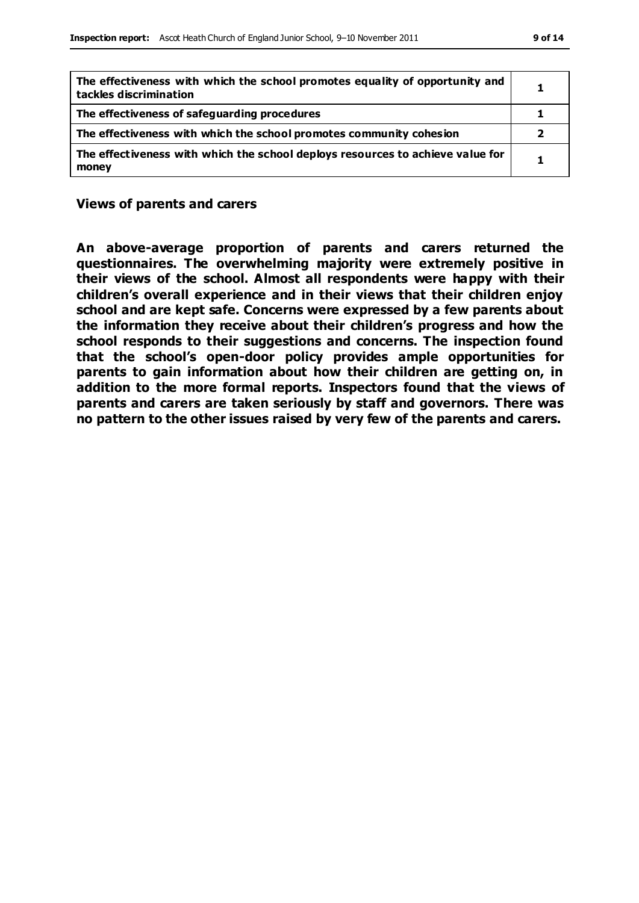| The effectiveness with which the school promotes equality of opportunity and<br>tackles discrimination | 1 |
|--------------------------------------------------------------------------------------------------------|---|
| The effectiveness of safeguarding procedures                                                           |   |
| The effectiveness with which the school promotes community cohesion                                    | 2 |
| The effectiveness with which the school deploys resources to achieve value for<br>money                |   |

**Views of parents and carers**

**An above-average proportion of parents and carers returned the questionnaires. The overwhelming majority were extremely positive in their views of the school. Almost all respondents were happy with their children's overall experience and in their views that their children enjoy school and are kept safe. Concerns were expressed by a few parents about the information they receive about their children's progress and how the school responds to their suggestions and concerns. The inspection found that the school's open-door policy provides ample opportunities for parents to gain information about how their children are getting on, in addition to the more formal reports. Inspectors found that the views of parents and carers are taken seriously by staff and governors. There was no pattern to the other issues raised by very few of the parents and carers.**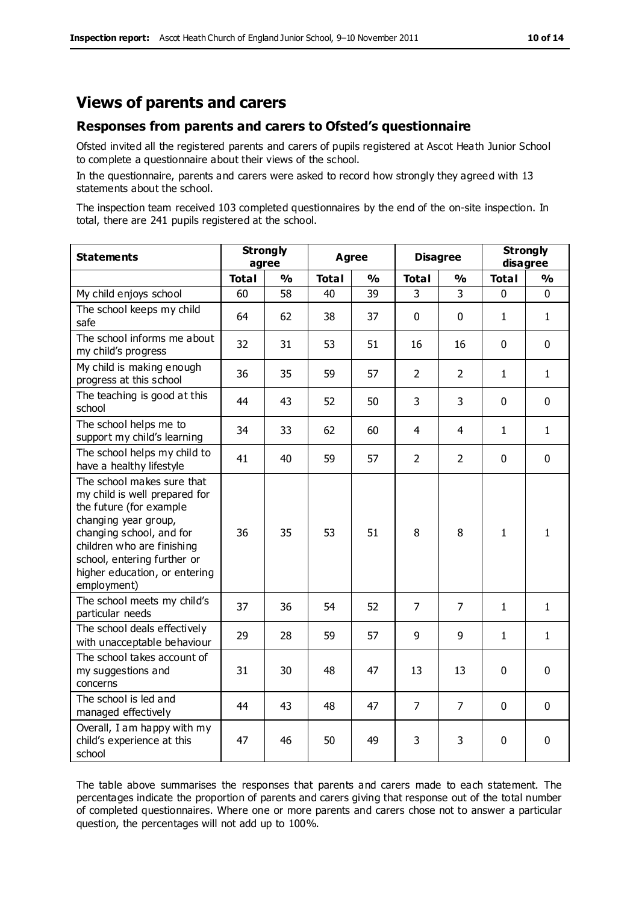#### **Views of parents and carers**

#### **Responses from parents and carers to Ofsted's questionnaire**

Ofsted invited all the registered parents and carers of pupils registered at Ascot Heath Junior School to complete a questionnaire about their views of the school.

In the questionnaire, parents and carers were asked to record how strongly they agreed with 13 statements about the school.

The inspection team received 103 completed questionnaires by the end of the on-site inspection. In total, there are 241 pupils registered at the school.

| <b>Statements</b>                                                                                                                                                                                                                                       | <b>Strongly</b><br>agree |               | <b>Agree</b> |    |                | <b>Disagree</b> | disagree     | <b>Strongly</b> |
|---------------------------------------------------------------------------------------------------------------------------------------------------------------------------------------------------------------------------------------------------------|--------------------------|---------------|--------------|----|----------------|-----------------|--------------|-----------------|
|                                                                                                                                                                                                                                                         | <b>Total</b>             | $\frac{1}{2}$ | <b>Total</b> | %  | <b>Total</b>   | $\frac{1}{2}$   | <b>Total</b> | %               |
| My child enjoys school                                                                                                                                                                                                                                  | 60                       | 58            | 40           | 39 | 3              | 3               | $\mathbf 0$  | $\mathbf{0}$    |
| The school keeps my child<br>safe                                                                                                                                                                                                                       | 64                       | 62            | 38           | 37 | 0              | 0               | $\mathbf{1}$ | $\mathbf{1}$    |
| The school informs me about<br>my child's progress                                                                                                                                                                                                      | 32                       | 31            | 53           | 51 | 16             | 16              | $\mathbf{0}$ | $\mathbf{0}$    |
| My child is making enough<br>progress at this school                                                                                                                                                                                                    | 36                       | 35            | 59           | 57 | $\overline{2}$ | 2               | $\mathbf{1}$ | $\mathbf{1}$    |
| The teaching is good at this<br>school                                                                                                                                                                                                                  | 44                       | 43            | 52           | 50 | 3              | 3               | 0            | $\mathbf 0$     |
| The school helps me to<br>support my child's learning                                                                                                                                                                                                   | 34                       | 33            | 62           | 60 | 4              | 4               | $\mathbf{1}$ | $\mathbf{1}$    |
| The school helps my child to<br>have a healthy lifestyle                                                                                                                                                                                                | 41                       | 40            | 59           | 57 | $\overline{2}$ | $\overline{2}$  | $\mathbf 0$  | $\mathbf 0$     |
| The school makes sure that<br>my child is well prepared for<br>the future (for example<br>changing year group,<br>changing school, and for<br>children who are finishing<br>school, entering further or<br>higher education, or entering<br>employment) | 36                       | 35            | 53           | 51 | 8              | 8               | $\mathbf{1}$ | $\mathbf{1}$    |
| The school meets my child's<br>particular needs                                                                                                                                                                                                         | 37                       | 36            | 54           | 52 | 7              | $\overline{7}$  | $\mathbf{1}$ | $\mathbf{1}$    |
| The school deals effectively<br>with unacceptable behaviour                                                                                                                                                                                             | 29                       | 28            | 59           | 57 | 9              | 9               | $\mathbf{1}$ | $\mathbf{1}$    |
| The school takes account of<br>my suggestions and<br>concerns                                                                                                                                                                                           | 31                       | 30            | 48           | 47 | 13             | 13              | $\mathbf{0}$ | $\mathbf 0$     |
| The school is led and<br>managed effectively                                                                                                                                                                                                            | 44                       | 43            | 48           | 47 | 7              | $\overline{7}$  | $\mathbf{0}$ | $\mathbf 0$     |
| Overall, I am happy with my<br>child's experience at this<br>school                                                                                                                                                                                     | 47                       | 46            | 50           | 49 | 3              | 3               | $\mathbf 0$  | $\pmb{0}$       |

The table above summarises the responses that parents and carers made to each statement. The percentages indicate the proportion of parents and carers giving that response out of the total number of completed questionnaires. Where one or more parents and carers chose not to answer a particular question, the percentages will not add up to 100%.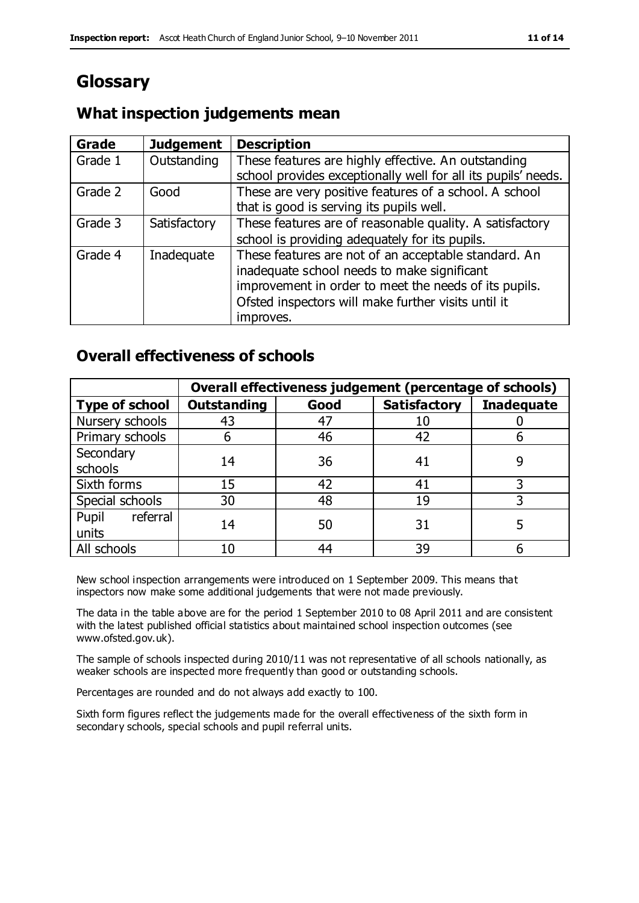## **Glossary**

#### **What inspection judgements mean**

| Grade   | <b>Judgement</b> | <b>Description</b>                                            |
|---------|------------------|---------------------------------------------------------------|
| Grade 1 | Outstanding      | These features are highly effective. An outstanding           |
|         |                  | school provides exceptionally well for all its pupils' needs. |
| Grade 2 | Good             | These are very positive features of a school. A school        |
|         |                  | that is good is serving its pupils well.                      |
| Grade 3 | Satisfactory     | These features are of reasonable quality. A satisfactory      |
|         |                  | school is providing adequately for its pupils.                |
| Grade 4 | Inadequate       | These features are not of an acceptable standard. An          |
|         |                  | inadequate school needs to make significant                   |
|         |                  | improvement in order to meet the needs of its pupils.         |
|         |                  | Ofsted inspectors will make further visits until it           |
|         |                  | improves.                                                     |

#### **Overall effectiveness of schools**

|                       |                    |      | Overall effectiveness judgement (percentage of schools) |                   |
|-----------------------|--------------------|------|---------------------------------------------------------|-------------------|
| <b>Type of school</b> | <b>Outstanding</b> | Good | <b>Satisfactory</b>                                     | <b>Inadequate</b> |
| Nursery schools       | 43                 | 47   | 10                                                      |                   |
| Primary schools       | ჩ                  | 46   | 42                                                      |                   |
| Secondary             | 14                 | 36   | 41                                                      |                   |
| schools               |                    |      |                                                         |                   |
| Sixth forms           | 15                 | 42   | 41                                                      |                   |
| Special schools       | 30                 | 48   | 19                                                      |                   |
| referral<br>Pupil     | 14                 | 50   | 31                                                      |                   |
| units                 |                    |      |                                                         |                   |
| All schools           | 10                 | 44   | 39                                                      |                   |

New school inspection arrangements were introduced on 1 September 2009. This means that inspectors now make some additional judgements that were not made previously.

The data in the table above are for the period 1 September 2010 to 08 April 2011 and are consistent with the latest published official statistics about maintained school inspection outcomes (see www.ofsted.gov.uk).

The sample of schools inspected during 2010/11 was not representative of all schools nationally, as weaker schools are inspected more frequently than good or outstanding schools.

Percentages are rounded and do not always add exactly to 100.

Sixth form figures reflect the judgements made for the overall effectiveness of the sixth form in secondary schools, special schools and pupil referral units.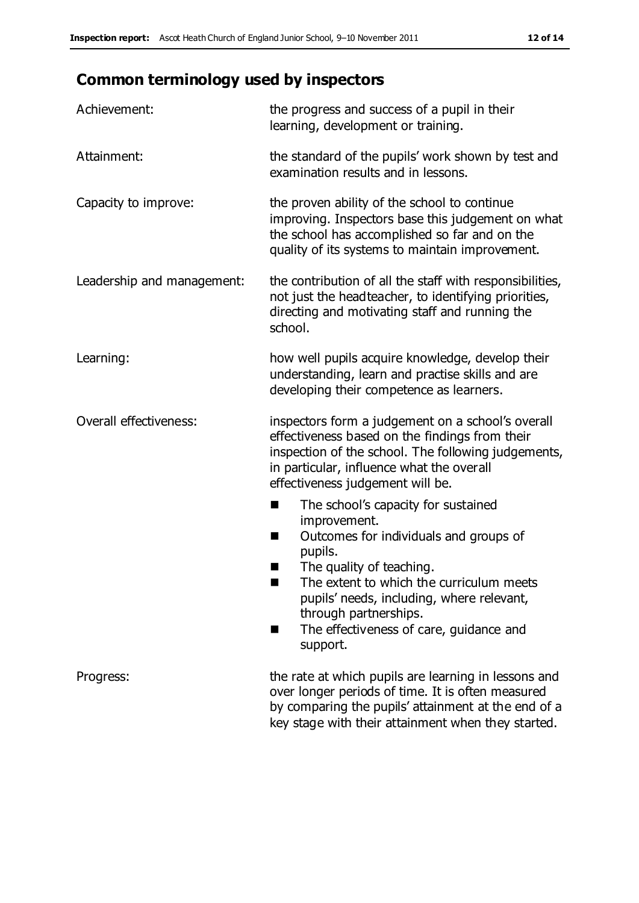# **Common terminology used by inspectors**

| Achievement:                  | the progress and success of a pupil in their<br>learning, development or training.                                                                                                                                                                                                                                           |  |  |
|-------------------------------|------------------------------------------------------------------------------------------------------------------------------------------------------------------------------------------------------------------------------------------------------------------------------------------------------------------------------|--|--|
| Attainment:                   | the standard of the pupils' work shown by test and<br>examination results and in lessons.                                                                                                                                                                                                                                    |  |  |
| Capacity to improve:          | the proven ability of the school to continue<br>improving. Inspectors base this judgement on what<br>the school has accomplished so far and on the<br>quality of its systems to maintain improvement.                                                                                                                        |  |  |
| Leadership and management:    | the contribution of all the staff with responsibilities,<br>not just the headteacher, to identifying priorities,<br>directing and motivating staff and running the<br>school.                                                                                                                                                |  |  |
| Learning:                     | how well pupils acquire knowledge, develop their<br>understanding, learn and practise skills and are<br>developing their competence as learners.                                                                                                                                                                             |  |  |
| <b>Overall effectiveness:</b> | inspectors form a judgement on a school's overall<br>effectiveness based on the findings from their<br>inspection of the school. The following judgements,<br>in particular, influence what the overall<br>effectiveness judgement will be.                                                                                  |  |  |
|                               | The school's capacity for sustained<br>×<br>improvement.<br>Outcomes for individuals and groups of<br>п<br>pupils.<br>The quality of teaching.<br>The extent to which the curriculum meets<br>pupils' needs, including, where relevant,<br>through partnerships.<br>The effectiveness of care, guidance and<br>■<br>support. |  |  |
| Progress:                     | the rate at which pupils are learning in lessons and<br>over longer periods of time. It is often measured<br>by comparing the pupils' attainment at the end of a<br>key stage with their attainment when they started.                                                                                                       |  |  |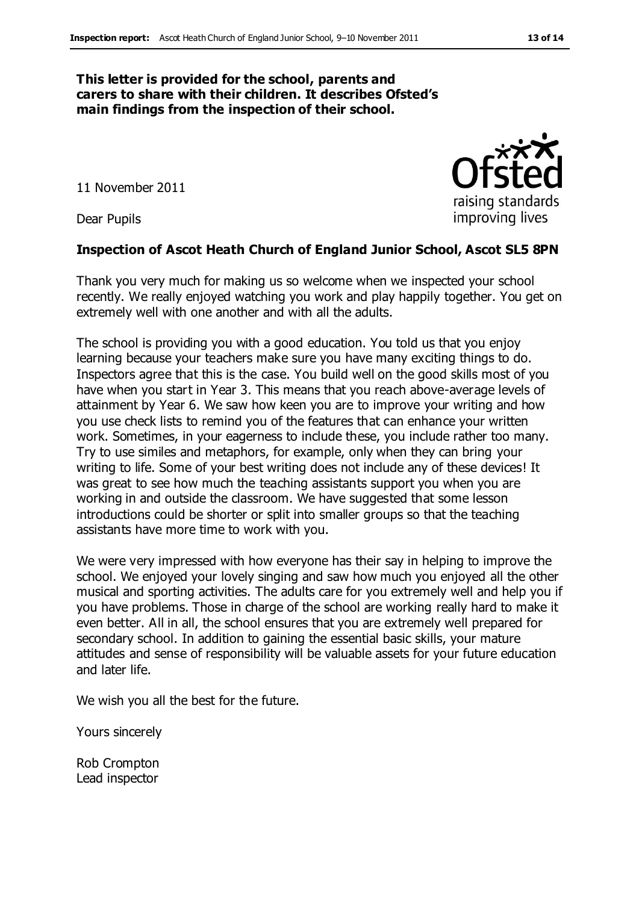#### **This letter is provided for the school, parents and carers to share with their children. It describes Ofsted's main findings from the inspection of their school.**

11 November 2011

Dear Pupils

#### **Inspection of Ascot Heath Church of England Junior School, Ascot SL5 8PN**

Thank you very much for making us so welcome when we inspected your school recently. We really enjoyed watching you work and play happily together. You get on extremely well with one another and with all the adults.

The school is providing you with a good education. You told us that you enjoy learning because your teachers make sure you have many exciting things to do. Inspectors agree that this is the case. You build well on the good skills most of you have when you start in Year 3. This means that you reach above-average levels of attainment by Year 6. We saw how keen you are to improve your writing and how you use check lists to remind you of the features that can enhance your written work. Sometimes, in your eagerness to include these, you include rather too many. Try to use similes and metaphors, for example, only when they can bring your writing to life. Some of your best writing does not include any of these devices! It was great to see how much the teaching assistants support you when you are working in and outside the classroom. We have suggested that some lesson introductions could be shorter or split into smaller groups so that the teaching assistants have more time to work with you.

We were very impressed with how everyone has their say in helping to improve the school. We enjoyed your lovely singing and saw how much you enjoyed all the other musical and sporting activities. The adults care for you extremely well and help you if you have problems. Those in charge of the school are working really hard to make it even better. All in all, the school ensures that you are extremely well prepared for secondary school. In addition to gaining the essential basic skills, your mature attitudes and sense of responsibility will be valuable assets for your future education and later life.

We wish you all the best for the future.

Yours sincerely

Rob Crompton Lead inspector